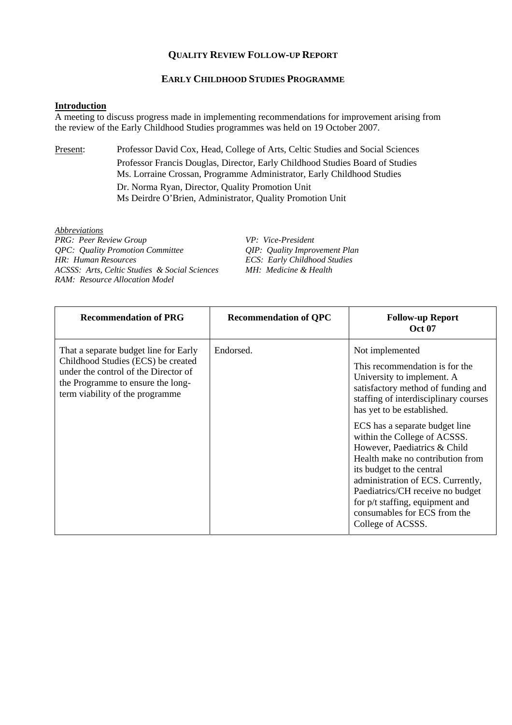## **QUALITY REVIEW FOLLOW-UP REPORT**

## **EARLY CHILDHOOD STUDIES PROGRAMME**

## **Introduction**

A meeting to discuss progress made in implementing recommendations for improvement arising from the review of the Early Childhood Studies programmes was held on 19 October 2007.

Present: Professor David Cox, Head, College of Arts, Celtic Studies and Social Sciences Professor Francis Douglas, Director, Early Childhood Studies Board of Studies Ms. Lorraine Crossan, Programme Administrator, Early Childhood Studies

> Dr. Norma Ryan, Director, Quality Promotion Unit Ms Deirdre O'Brien, Administrator, Quality Promotion Unit

*Abbreviations PRG: Peer Review Group*<br> *PRG: Quality Promotion Committee*<br> *QIP: Quality Improvement Plan QPC: Quality Promotion Committee HR: Human Resources ACSSS: Arts, Celtic Studies & Social Sciences MH: Medicine & Health RAM: Resource Allocation Model* 

*HR: Human Resources ECS: Early Childhood Studies* 

| <b>Recommendation of PRG</b>                                                                                                                                                                | <b>Recommendation of QPC</b> | <b>Follow-up Report</b><br><b>Oct 07</b>                                                                                                                                                                                                                                                                                                                                                                                                                                                                                         |
|---------------------------------------------------------------------------------------------------------------------------------------------------------------------------------------------|------------------------------|----------------------------------------------------------------------------------------------------------------------------------------------------------------------------------------------------------------------------------------------------------------------------------------------------------------------------------------------------------------------------------------------------------------------------------------------------------------------------------------------------------------------------------|
| That a separate budget line for Early<br>Childhood Studies (ECS) be created<br>under the control of the Director of<br>the Programme to ensure the long-<br>term viability of the programme | Endorsed.                    | Not implemented<br>This recommendation is for the<br>University to implement. A<br>satisfactory method of funding and<br>staffing of interdisciplinary courses<br>has yet to be established.<br>ECS has a separate budget line<br>within the College of ACSSS.<br>However, Paediatrics & Child<br>Health make no contribution from<br>its budget to the central<br>administration of ECS. Currently,<br>Paediatrics/CH receive no budget<br>for p/t staffing, equipment and<br>consumables for ECS from the<br>College of ACSSS. |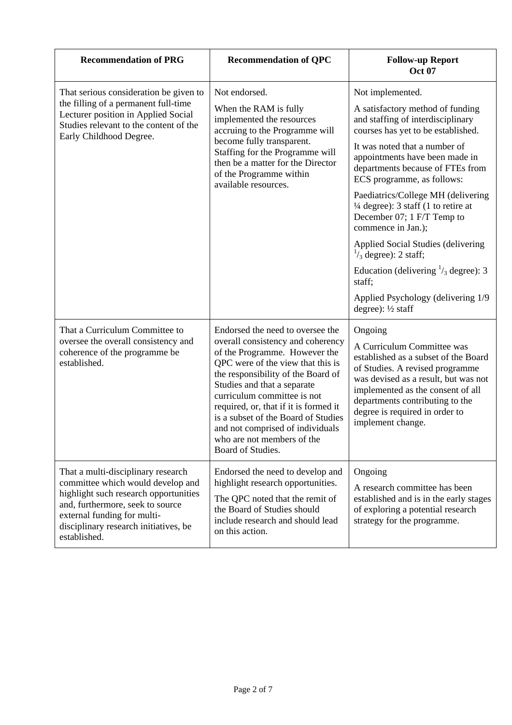| <b>Recommendation of PRG</b>                                                                                                                                                                                                                 | <b>Recommendation of QPC</b>                                                                                                                                                                                                                                                                                                                                                                                           | <b>Follow-up Report</b><br><b>Oct 07</b>                                                                                                                                                                                                                                                                                                                                                                                                                                                                                                                                                                          |
|----------------------------------------------------------------------------------------------------------------------------------------------------------------------------------------------------------------------------------------------|------------------------------------------------------------------------------------------------------------------------------------------------------------------------------------------------------------------------------------------------------------------------------------------------------------------------------------------------------------------------------------------------------------------------|-------------------------------------------------------------------------------------------------------------------------------------------------------------------------------------------------------------------------------------------------------------------------------------------------------------------------------------------------------------------------------------------------------------------------------------------------------------------------------------------------------------------------------------------------------------------------------------------------------------------|
| That serious consideration be given to<br>the filling of a permanent full-time<br>Lecturer position in Applied Social<br>Studies relevant to the content of the<br>Early Childhood Degree.                                                   | Not endorsed.<br>When the RAM is fully<br>implemented the resources<br>accruing to the Programme will<br>become fully transparent.<br>Staffing for the Programme will<br>then be a matter for the Director<br>of the Programme within<br>available resources.                                                                                                                                                          | Not implemented.<br>A satisfactory method of funding<br>and staffing of interdisciplinary<br>courses has yet to be established.<br>It was noted that a number of<br>appointments have been made in<br>departments because of FTEs from<br>ECS programme, as follows:<br>Paediatrics/College MH (delivering<br>$\frac{1}{4}$ degree): 3 staff (1 to retire at<br>December 07; 1 F/T Temp to<br>commence in Jan.);<br>Applied Social Studies (delivering<br>$\frac{1}{3}$ degree): 2 staff;<br>Education (delivering $\frac{1}{3}$ degree): 3<br>staff;<br>Applied Psychology (delivering 1/9<br>degree): 1/2 staff |
| That a Curriculum Committee to<br>oversee the overall consistency and<br>coherence of the programme be<br>established.                                                                                                                       | Endorsed the need to oversee the<br>overall consistency and coherency<br>of the Programme. However the<br>QPC were of the view that this is<br>the responsibility of the Board of<br>Studies and that a separate<br>curriculum committee is not<br>required, or, that if it is formed it<br>is a subset of the Board of Studies<br>and not comprised of individuals<br>who are not members of the<br>Board of Studies. | Ongoing<br>A Curriculum Committee was<br>established as a subset of the Board<br>of Studies. A revised programme<br>was devised as a result, but was not<br>implemented as the consent of all<br>departments contributing to the<br>degree is required in order to<br>implement change.                                                                                                                                                                                                                                                                                                                           |
| That a multi-disciplinary research<br>committee which would develop and<br>highlight such research opportunities<br>and, furthermore, seek to source<br>external funding for multi-<br>disciplinary research initiatives, be<br>established. | Endorsed the need to develop and<br>highlight research opportunities.<br>The QPC noted that the remit of<br>the Board of Studies should<br>include research and should lead<br>on this action.                                                                                                                                                                                                                         | Ongoing<br>A research committee has been<br>established and is in the early stages<br>of exploring a potential research<br>strategy for the programme.                                                                                                                                                                                                                                                                                                                                                                                                                                                            |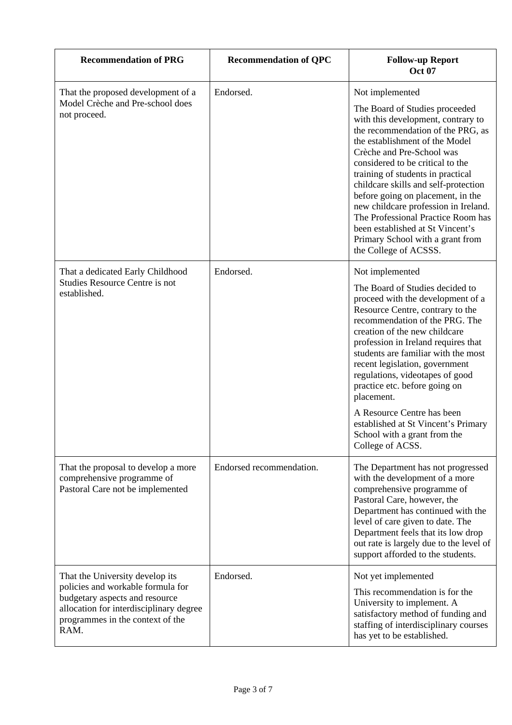| <b>Recommendation of PRG</b>                                                                                                                                                                  | <b>Recommendation of QPC</b> | <b>Follow-up Report</b><br><b>Oct 07</b>                                                                                                                                                                                                                                                                                                                                                                                                                                                                                         |
|-----------------------------------------------------------------------------------------------------------------------------------------------------------------------------------------------|------------------------------|----------------------------------------------------------------------------------------------------------------------------------------------------------------------------------------------------------------------------------------------------------------------------------------------------------------------------------------------------------------------------------------------------------------------------------------------------------------------------------------------------------------------------------|
| That the proposed development of a<br>Model Crèche and Pre-school does<br>not proceed.                                                                                                        | Endorsed.                    | Not implemented<br>The Board of Studies proceeded<br>with this development, contrary to<br>the recommendation of the PRG, as<br>the establishment of the Model<br>Crèche and Pre-School was<br>considered to be critical to the<br>training of students in practical<br>childcare skills and self-protection<br>before going on placement, in the<br>new childcare profession in Ireland.<br>The Professional Practice Room has<br>been established at St Vincent's<br>Primary School with a grant from<br>the College of ACSSS. |
| That a dedicated Early Childhood<br><b>Studies Resource Centre is not</b><br>established.                                                                                                     | Endorsed.                    | Not implemented<br>The Board of Studies decided to<br>proceed with the development of a<br>Resource Centre, contrary to the<br>recommendation of the PRG. The<br>creation of the new childcare<br>profession in Ireland requires that<br>students are familiar with the most<br>recent legislation, government<br>regulations, videotapes of good<br>practice etc. before going on<br>placement.<br>A Resource Centre has been<br>established at St Vincent's Primary<br>School with a grant from the<br>College of ACSS.        |
| That the proposal to develop a more<br>comprehensive programme of<br>Pastoral Care not be implemented                                                                                         | Endorsed recommendation.     | The Department has not progressed<br>with the development of a more<br>comprehensive programme of<br>Pastoral Care, however, the<br>Department has continued with the<br>level of care given to date. The<br>Department feels that its low drop<br>out rate is largely due to the level of<br>support afforded to the students.                                                                                                                                                                                                  |
| That the University develop its<br>policies and workable formula for<br>budgetary aspects and resource<br>allocation for interdisciplinary degree<br>programmes in the context of the<br>RAM. | Endorsed.                    | Not yet implemented<br>This recommendation is for the<br>University to implement. A<br>satisfactory method of funding and<br>staffing of interdisciplinary courses<br>has yet to be established.                                                                                                                                                                                                                                                                                                                                 |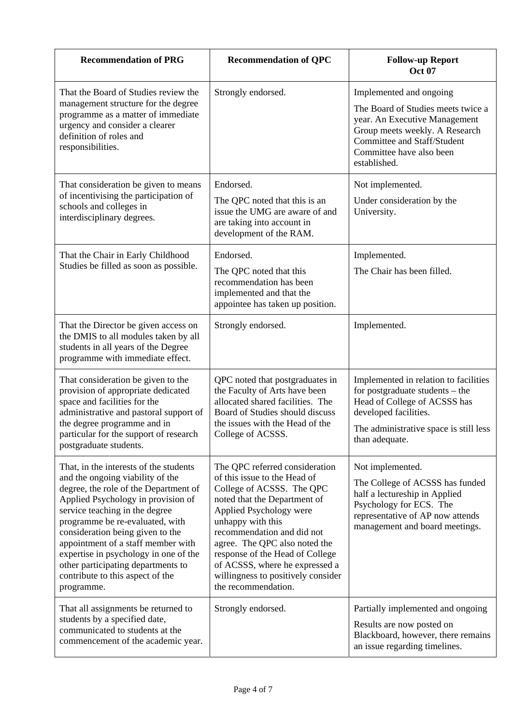| <b>Recommendation of PRG</b>                                                                                                                                                                                                                                                                                                                                                                                                              | <b>Recommendation of QPC</b>                                                                                                                                                                                                                                                                                                                                                 | <b>Follow-up Report</b><br><b>Oct 07</b>                                                                                                                                                                           |
|-------------------------------------------------------------------------------------------------------------------------------------------------------------------------------------------------------------------------------------------------------------------------------------------------------------------------------------------------------------------------------------------------------------------------------------------|------------------------------------------------------------------------------------------------------------------------------------------------------------------------------------------------------------------------------------------------------------------------------------------------------------------------------------------------------------------------------|--------------------------------------------------------------------------------------------------------------------------------------------------------------------------------------------------------------------|
| That the Board of Studies review the<br>management structure for the degree<br>programme as a matter of immediate<br>urgency and consider a clearer<br>definition of roles and<br>responsibilities.                                                                                                                                                                                                                                       | Strongly endorsed.                                                                                                                                                                                                                                                                                                                                                           | Implemented and ongoing<br>The Board of Studies meets twice a<br>year. An Executive Management<br>Group meets weekly. A Research<br><b>Committee and Staff/Student</b><br>Committee have also been<br>established. |
| That consideration be given to means<br>of incentivising the participation of<br>schools and colleges in<br>interdisciplinary degrees.                                                                                                                                                                                                                                                                                                    | Endorsed.<br>The QPC noted that this is an<br>issue the UMG are aware of and<br>are taking into account in<br>development of the RAM.                                                                                                                                                                                                                                        | Not implemented.<br>Under consideration by the<br>University.                                                                                                                                                      |
| That the Chair in Early Childhood<br>Studies be filled as soon as possible.                                                                                                                                                                                                                                                                                                                                                               | Endorsed.<br>The QPC noted that this<br>recommendation has been<br>implemented and that the<br>appointee has taken up position.                                                                                                                                                                                                                                              | Implemented.<br>The Chair has been filled.                                                                                                                                                                         |
| That the Director be given access on<br>the DMIS to all modules taken by all<br>students in all years of the Degree<br>programme with immediate effect.                                                                                                                                                                                                                                                                                   | Strongly endorsed.                                                                                                                                                                                                                                                                                                                                                           | Implemented.                                                                                                                                                                                                       |
| That consideration be given to the<br>provision of appropriate dedicated<br>space and facilities for the<br>administrative and pastoral support of<br>the degree programme and in<br>particular for the support of research<br>postgraduate students.                                                                                                                                                                                     | QPC noted that postgraduates in<br>the Faculty of Arts have been<br>allocated shared facilities. The<br>Board of Studies should discuss<br>the issues with the Head of the<br>College of ACSSS.                                                                                                                                                                              | Implemented in relation to facilities<br>for postgraduate students - the<br>Head of College of ACSSS has<br>developed facilities.<br>The administrative space is still less<br>than adequate.                      |
| That, in the interests of the students<br>and the ongoing viability of the<br>degree, the role of the Department of<br>Applied Psychology in provision of<br>service teaching in the degree<br>programme be re-evaluated, with<br>consideration being given to the<br>appointment of a staff member with<br>expertise in psychology in one of the<br>other participating departments to<br>contribute to this aspect of the<br>programme. | The QPC referred consideration<br>of this issue to the Head of<br>College of ACSSS. The QPC<br>noted that the Department of<br>Applied Psychology were<br>unhappy with this<br>recommendation and did not<br>agree. The QPC also noted the<br>response of the Head of College<br>of ACSSS, where he expressed a<br>willingness to positively consider<br>the recommendation. | Not implemented.<br>The College of ACSSS has funded<br>half a lectureship in Applied<br>Psychology for ECS. The<br>representative of AP now attends<br>management and board meetings.                              |
| That all assignments be returned to<br>students by a specified date,<br>communicated to students at the<br>commencement of the academic year.                                                                                                                                                                                                                                                                                             | Strongly endorsed.                                                                                                                                                                                                                                                                                                                                                           | Partially implemented and ongoing<br>Results are now posted on<br>Blackboard, however, there remains<br>an issue regarding timelines.                                                                              |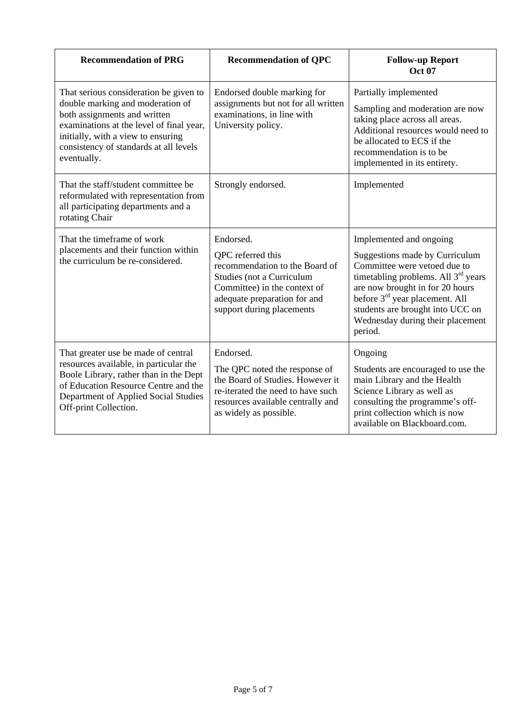| <b>Recommendation of PRG</b>                                                                                                                                                                                                                          | <b>Recommendation of QPC</b>                                                                                                                                                               | <b>Follow-up Report</b><br><b>Oct 07</b>                                                                                                                                                                                                                                                                         |
|-------------------------------------------------------------------------------------------------------------------------------------------------------------------------------------------------------------------------------------------------------|--------------------------------------------------------------------------------------------------------------------------------------------------------------------------------------------|------------------------------------------------------------------------------------------------------------------------------------------------------------------------------------------------------------------------------------------------------------------------------------------------------------------|
| That serious consideration be given to<br>double marking and moderation of<br>both assignments and written<br>examinations at the level of final year,<br>initially, with a view to ensuring<br>consistency of standards at all levels<br>eventually. | Endorsed double marking for<br>assignments but not for all written<br>examinations, in line with<br>University policy.                                                                     | Partially implemented<br>Sampling and moderation are now<br>taking place across all areas.<br>Additional resources would need to<br>be allocated to ECS if the<br>recommendation is to be<br>implemented in its entirety.                                                                                        |
| That the staff/student committee be.<br>reformulated with representation from<br>all participating departments and a<br>rotating Chair                                                                                                                | Strongly endorsed.                                                                                                                                                                         | Implemented                                                                                                                                                                                                                                                                                                      |
| That the timeframe of work<br>placements and their function within<br>the curriculum be re-considered.                                                                                                                                                | Endorsed.<br>QPC referred this<br>recommendation to the Board of<br>Studies (not a Curriculum<br>Committee) in the context of<br>adequate preparation for and<br>support during placements | Implemented and ongoing<br>Suggestions made by Curriculum<br>Committee were vetoed due to<br>timetabling problems. All 3 <sup>rd</sup> years<br>are now brought in for 20 hours<br>before 3 <sup>rd</sup> year placement. All<br>students are brought into UCC on<br>Wednesday during their placement<br>period. |
| That greater use be made of central<br>resources available, in particular the<br>Boole Library, rather than in the Dept<br>of Education Resource Centre and the<br>Department of Applied Social Studies<br>Off-print Collection.                      | Endorsed.<br>The QPC noted the response of<br>the Board of Studies. However it<br>re-iterated the need to have such<br>resources available centrally and<br>as widely as possible.         | Ongoing<br>Students are encouraged to use the<br>main Library and the Health<br>Science Library as well as<br>consulting the programme's off-<br>print collection which is now<br>available on Blackboard.com.                                                                                                   |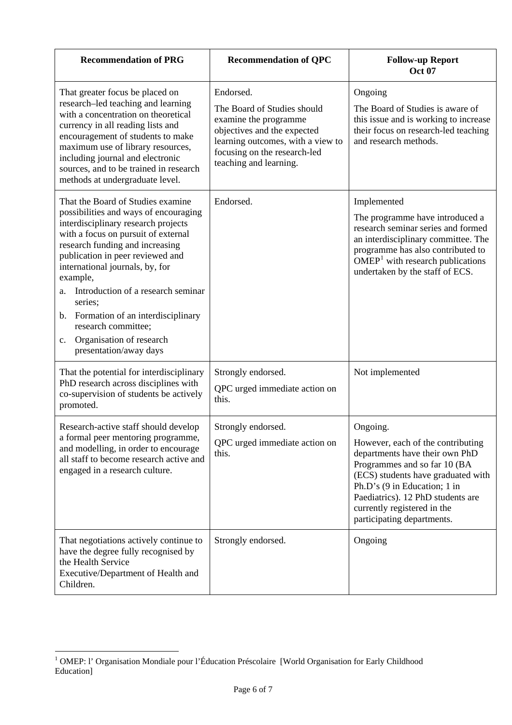| <b>Recommendation of PRG</b>                                                                                                                                                                                                                                                                                                                                                                                                                                                    | <b>Recommendation of QPC</b>                                                                                                                                                                    | <b>Follow-up Report</b><br><b>Oct 07</b>                                                                                                                                                                                                                                                |
|---------------------------------------------------------------------------------------------------------------------------------------------------------------------------------------------------------------------------------------------------------------------------------------------------------------------------------------------------------------------------------------------------------------------------------------------------------------------------------|-------------------------------------------------------------------------------------------------------------------------------------------------------------------------------------------------|-----------------------------------------------------------------------------------------------------------------------------------------------------------------------------------------------------------------------------------------------------------------------------------------|
| That greater focus be placed on<br>research-led teaching and learning<br>with a concentration on theoretical<br>currency in all reading lists and<br>encouragement of students to make<br>maximum use of library resources,<br>including journal and electronic<br>sources, and to be trained in research<br>methods at undergraduate level.                                                                                                                                    | Endorsed.<br>The Board of Studies should<br>examine the programme<br>objectives and the expected<br>learning outcomes, with a view to<br>focusing on the research-led<br>teaching and learning. | Ongoing<br>The Board of Studies is aware of<br>this issue and is working to increase<br>their focus on research-led teaching<br>and research methods.                                                                                                                                   |
| That the Board of Studies examine<br>possibilities and ways of encouraging<br>interdisciplinary research projects<br>with a focus on pursuit of external<br>research funding and increasing<br>publication in peer reviewed and<br>international journals, by, for<br>example,<br>Introduction of a research seminar<br>a.<br>series;<br>Formation of an interdisciplinary<br>b.<br>research committee;<br>Organisation of research<br>$\mathbf{c}$ .<br>presentation/away days | Endorsed.                                                                                                                                                                                       | Implemented<br>The programme have introduced a<br>research seminar series and formed<br>an interdisciplinary committee. The<br>programme has also contributed to<br>$OMEP1$ with research publications<br>undertaken by the staff of ECS.                                               |
| That the potential for interdisciplinary<br>PhD research across disciplines with<br>co-supervision of students be actively<br>promoted.                                                                                                                                                                                                                                                                                                                                         | Strongly endorsed.<br>QPC urged immediate action on<br>this.                                                                                                                                    | Not implemented                                                                                                                                                                                                                                                                         |
| Research-active staff should develop<br>a formal peer mentoring programme,<br>and modelling, in order to encourage<br>all staff to become research active and<br>engaged in a research culture.                                                                                                                                                                                                                                                                                 | Strongly endorsed.<br>QPC urged immediate action on<br>this.                                                                                                                                    | Ongoing.<br>However, each of the contributing<br>departments have their own PhD<br>Programmes and so far 10 (BA<br>(ECS) students have graduated with<br>Ph.D's (9 in Education; 1 in<br>Paediatrics). 12 PhD students are<br>currently registered in the<br>participating departments. |
| That negotiations actively continue to<br>have the degree fully recognised by<br>the Health Service<br>Executive/Department of Health and<br>Children.                                                                                                                                                                                                                                                                                                                          | Strongly endorsed.                                                                                                                                                                              | Ongoing                                                                                                                                                                                                                                                                                 |

<span id="page-5-0"></span> 1 OMEP: l' Organisation Mondiale pour l'Éducation Préscolaire [World Organisation for Early Childhood Education]